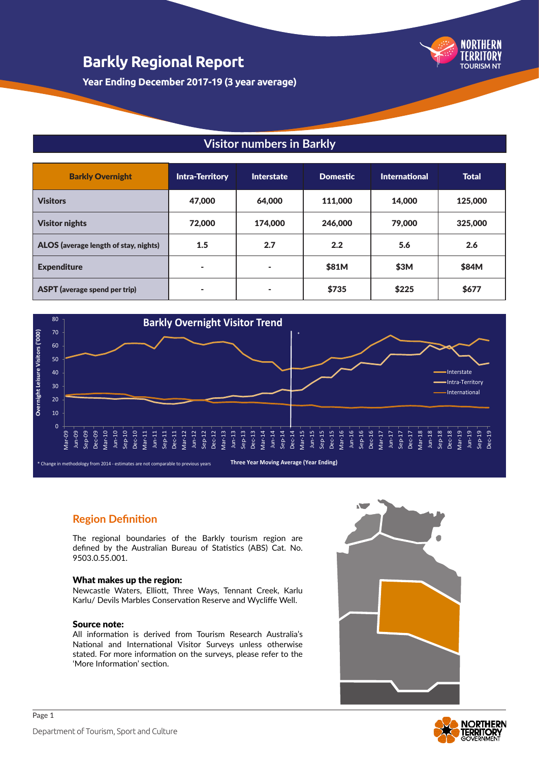

**Year Ending December 2017-19 (3 year average)**

#### **Visitor numbers in Barkly**

| <b>Barkly Overnight</b>               | <b>Intra-Territory</b> | Interstate | <b>Domestic</b> | <b>International</b> | <b>Total</b> |
|---------------------------------------|------------------------|------------|-----------------|----------------------|--------------|
| <b>Visitors</b>                       | 47,000                 | 64,000     | 111,000         | 14,000               | 125,000      |
| <b>Visitor nights</b>                 | 72,000                 | 174,000    | 246,000         | 79,000               | 325,000      |
| ALOS (average length of stay, nights) | 1.5                    | 2.7        | 2.2             | 5.6                  | 2.6          |
| <b>Expenditure</b>                    | ٠                      | ٠          | \$81M           | \$3M                 | \$84M        |
| <b>ASPT</b> (average spend per trip)  | $\blacksquare$         | ۰          | \$735           | \$225                | \$677        |



#### **Three Year Moving Average (Year Ending)**

#### **Region Definition**

\* Change in methodology from 2014 - estimates are not comparable to previous years

The regional boundaries of the Barkly tourism region are defined by the Australian Bureau of Statistics (ABS) Cat. No. 9503.0.55.001.

#### What makes up the region:

Newcastle Waters, Elliott, Three Ways, Tennant Creek, Karlu Karlu/ Devils Marbles Conservation Reserve and Wycliffe Well.

#### Source note:

All information is derived from Tourism Research Australia's National and International Visitor Surveys unless otherwise stated. For more information on the surveys, please refer to the 'More Information' section.



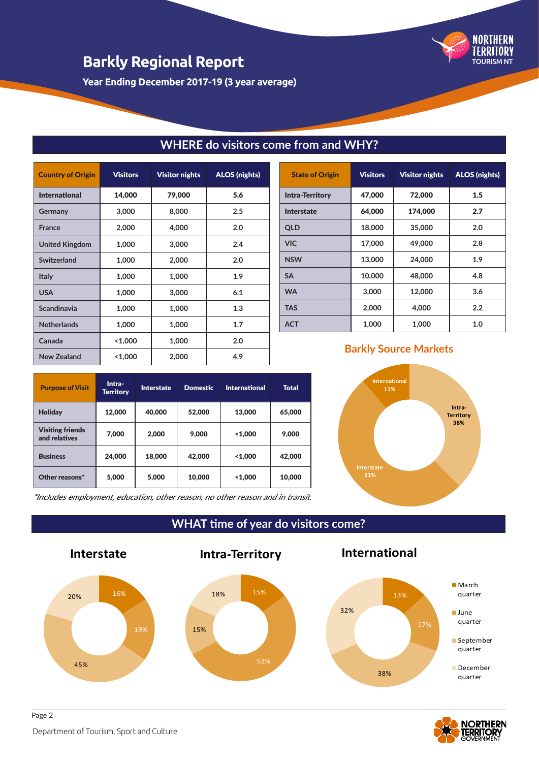**Year Ending December 2017-19 (3 year average)**

| <b>Country of Origin</b> | <b>Visitors</b> | <b>Visitor nights</b> | <b>ALOS</b> (nights) |
|--------------------------|-----------------|-----------------------|----------------------|
| <b>International</b>     | 14,000          | 79,000                | 5.6                  |
| Germany                  | 3,000           | 8,000                 | 2.5                  |
| <b>France</b>            | 2,000           | 4,000                 | 2.0                  |
| <b>United Kingdom</b>    | 1,000           | 3,000                 | 2.4                  |
| Switzerland              | 1,000           | 2,000                 | 2.0                  |
| <b>Italy</b>             | 1,000           | 1,000                 | 1.9                  |
| <b>USA</b>               | 1,000           | 3,000                 | 6.1                  |
| Scandinavia              | 1,000           | 1,000                 | 1.3                  |
| <b>Netherlands</b>       | 1,000           | 1,000                 | 1.7                  |
| Canada                   | 1,000           | 1,000                 | 2.0                  |
| <b>New Zealand</b>       | 1,000           | 2,000                 | 4.9                  |

| <b>State of Origin</b> | <b>Visitors</b> | <b>Visitor nights</b> | <b>ALOS (nights)</b> |
|------------------------|-----------------|-----------------------|----------------------|
| <b>Intra-Territory</b> | 47,000          | 72,000                | 1.5                  |
| <b>Interstate</b>      | 64,000          | 174,000               | 2.7                  |
| <b>QLD</b>             | 18,000          | 35,000                | 2.0                  |
| <b>VIC</b>             | 17,000          | 49,000                | 2.8                  |
| <b>NSW</b>             | 13,000          | 24,000                | 1.9                  |
| <b>SA</b>              | 10,000          | 48,000                | 4.8                  |
| <b>WA</b>              | 3,000           | 12,000                | 3.6                  |
| <b>TAS</b>             | 2,000           | 4,000                 | 2.2                  |
| <b>ACT</b>             | 1,000           | 1,000                 | 1.0                  |

TOURISM NT

**NORTHERN** TERRITORY

**WHERE do visitors come from and WHY?**

| <b>Purpose of Visit</b>                  | Intra-<br><b>Territory</b> | <b>Interstate</b> | <b>Domestic</b> | <b>International</b> | <b>Total</b> |
|------------------------------------------|----------------------------|-------------------|-----------------|----------------------|--------------|
| <b>Holiday</b>                           | 12,000                     | 40,000            | 52,000          | 13,000               | 65,000       |
| <b>Visiting friends</b><br>and relatives | 7,000                      | 2,000             | 9,000           | 1,000                | 9,000        |
| <b>Business</b>                          | 24,000                     | 18,000            | 42,000          | 1,000                | 42,000       |
| Other reasons*                           | 5,000                      | 5,000             | 10,000          | 1,000                | 10,000       |

### **Barkly Source Markets**



\*Includes employment, education, other reason, no other reason and in transit.

15%

18%

**WHAT time of year do visitors come?**

15%

**Intra-Territory**

52%





**International** 



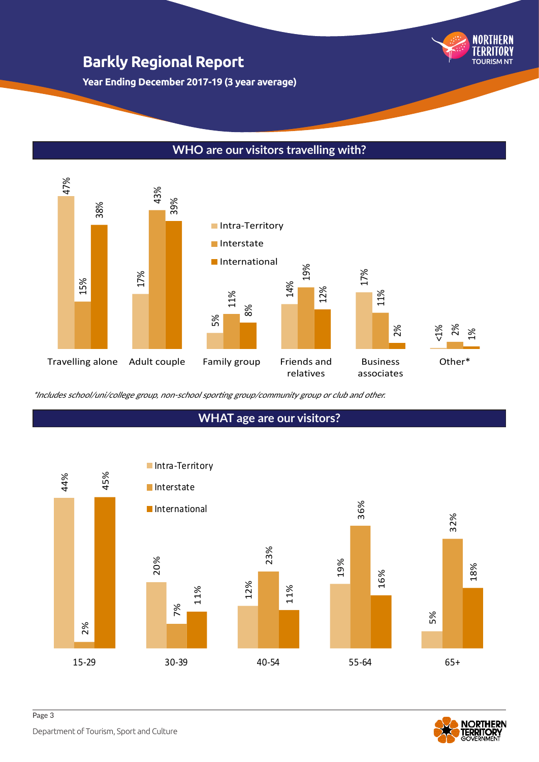**Year Ending December 2017-19 (3 year average)**

## **WHO are our visitors travelling with?**



## **WHAT age are our visitors?**





TOURISM NT

NORTHERN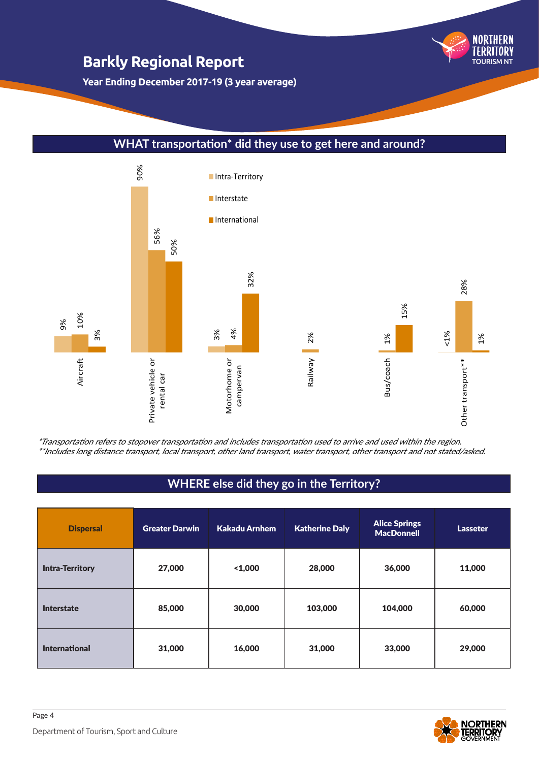**Year Ending December 2017-19 (3 year average)**

#### **WHAT transportation\* did they use to get here and around?**



\*Transportation refers to stopover transportation and includes transportation used to arrive and used within the region. \*\*Includes long distance transport, local transport, other land transport, water transport, other transport and not stated/asked.

### **WHERE else did they go in the Territory?**

| <b>Dispersal</b>       | <b>Greater Darwin</b> | Kakadu Arnhem | <b>Katherine Daly</b> | <b>Alice Springs</b><br><b>MacDonnell</b> | Lasseter |
|------------------------|-----------------------|---------------|-----------------------|-------------------------------------------|----------|
| <b>Intra-Territory</b> | 27,000                | 1,000         | 28,000                | 36,000                                    | 11,000   |
| <b>Interstate</b>      | 85,000                | 30,000        | 103,000               | 104,000                                   | 60,000   |
| <b>International</b>   | 31,000                | 16,000        | 31,000                | 33,000                                    | 29,000   |



TOURISM NT

NORTHERN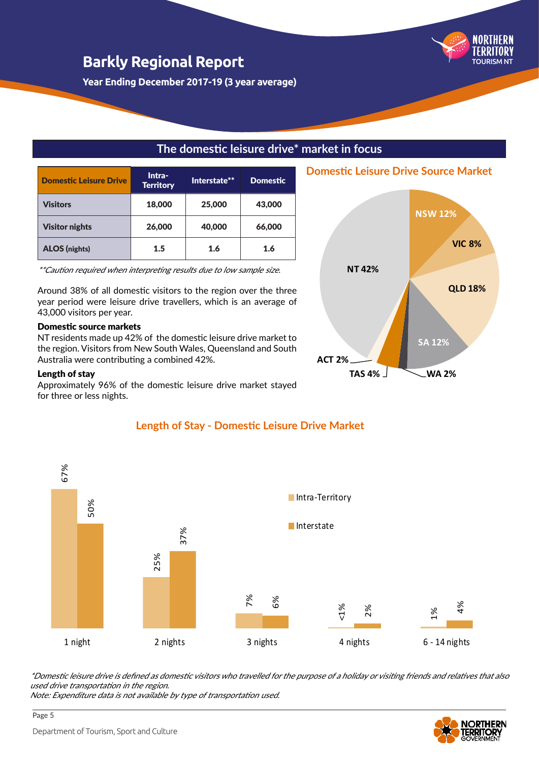**Year Ending December 2017-19 (3 year average)**

### **The domestic leisure drive\* market in focus**

| <b>Domestic Leisure Drive</b> | Intra-<br><b>Territory</b> | Interstate** | <b>Domestic</b> |
|-------------------------------|----------------------------|--------------|-----------------|
| <b>Visitors</b>               | 18,000                     | 25,000       | 43,000          |
| <b>Visitor nights</b>         | 26,000                     | 40,000       | 66,000          |
| <b>ALOS</b> (nights)          | 1.5                        | 1.6          | 1.6             |

\*\*Caution required when interpreting results due to low sample size.

Around 38% of all domestic visitors to the region over the three year period were leisure drive travellers, which is an average of 43,000 visitors per year.

#### Domestic source markets

NT residents made up 42% of the domestic leisure drive market to the region. Visitors from New South Wales, Queensland and South Australia were contributing a combined 42%.

#### Length of stay

Approximately 96% of the domestic leisure drive market stayed for three or less nights.

#### **Length of Stay - Domestic Leisure Drive Market**

**ACT 2%**

**NT 42%**



\*Domestic leisure drive is defined as domestic visitors who travelled for the purpose of a holiday or visiting friends and relatives that also used drive transportation in the region.

Note: Expenditure data is not available by type of transportation used.



**NSW 12%**

**Domestic Leisure Drive Source Market**

**VIC 8%**

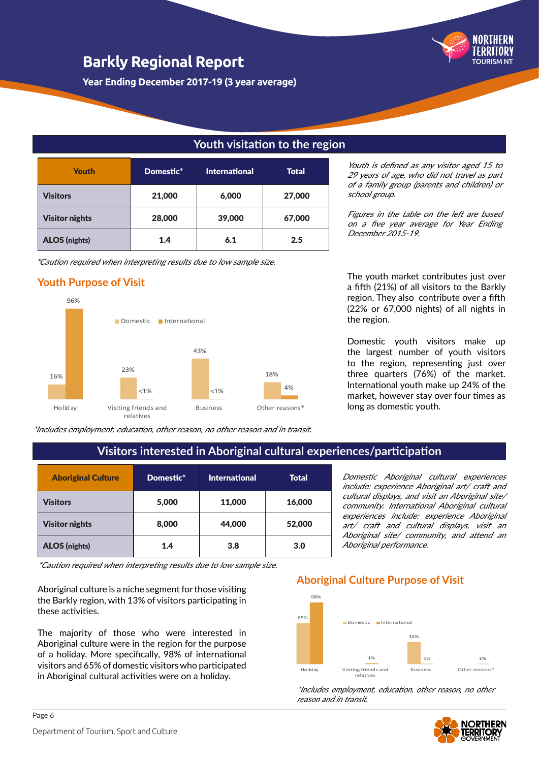**Year Ending December 2017-19 (3 year average)**

#### **Youth visitation to the region**

| <b>Youth</b>          | Domestic* | <b>International</b> | <b>Total</b> |
|-----------------------|-----------|----------------------|--------------|
| <b>Visitors</b>       | 21,000    | 6,000                | 27,000       |
| <b>Visitor nights</b> | 28,000    | 39,000               | 67,000       |
| <b>ALOS</b> (nights)  | 1.4       | 6.1                  | 2.5          |

\*Caution required when interpreting results due to low sample size.

#### **Youth Purpose of Visit**



\*Includes employment, education, other reason, no other reason and in transit.

Youth is defined as any visitor aged 15 to 29 years of age, who did not travel as part of a family group (parents and children) or school group.

TOURISM NT

Figures in the table on the left are based on a five year average for Year Ending December 2015-19.

The youth market contributes just over a fifth (21%) of all visitors to the Barkly region. They also contribute over a fifth (22% or 67,000 nights) of all nights in the region.

Domestic youth visitors make up the largest number of youth visitors to the region, representing just over three quarters (76%) of the market. International youth make up 24% of the market, however stay over four times as long as domestic youth.

Domestic Aboriginal cultural experiences include: experience Aboriginal art/ craft and cultural displays, and visit an Aboriginal site/ community. International Aboriginal cultural experiences include: experience Aboriginal art/ craft and cultural displays, visit an Aboriginal site/ community, and attend an

### **Visitors interested in Aboriginal cultural experiences/participation**

| <b>Aboriginal Culture</b> | Domestic* | <b>International</b> | <b>Total</b> |
|---------------------------|-----------|----------------------|--------------|
| <b>Visitors</b>           | 5,000     | 11,000               | 16,000       |
| <b>Visitor nights</b>     | 8,000     | 44,000               | 52,000       |
| <b>ALOS</b> (nights)      | 1.4       | 3.8                  | 3.0          |

\*Caution required when interpreting results due to low sample size.

Aboriginal culture is a niche segment for those visiting the Barkly region, with 13% of visitors participating in these activities.

The majority of those who were interested in Aboriginal culture were in the region for the purpose of a holiday. More specifically, 98% of international visitors and 65% of domestic visitors who participated in Aboriginal cultural activities were on a holiday.

### 65%  $000$ Domestic International **Aboriginal Culture Purpose of Visit**

Aboriginal performance.



\*Includes employment, education, other reason, no other reason and in transit.

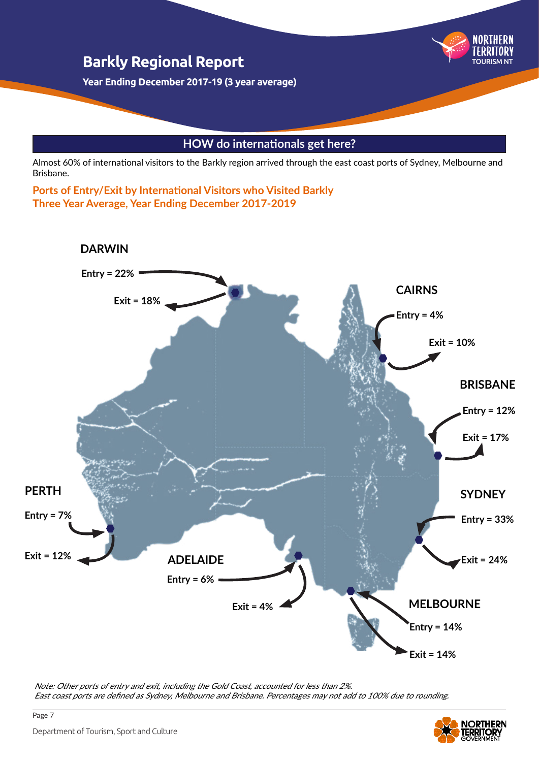

### **HOW do internationals get here?**

Almost 60% of international visitors to the Barkly region arrived through the east coast ports of Sydney, Melbourne and Brisbane.

**Ports of Entry/Exit by International Visitors who Visited Barkly Three Year Average, Year Ending December 2017-2019**



Note: Other ports of entry and exit, including the Gold Coast, accounted for less than 2%. East coast ports are defined as Sydney, Melbourne and Brisbane. Percentages may not add to 100% due to rounding.

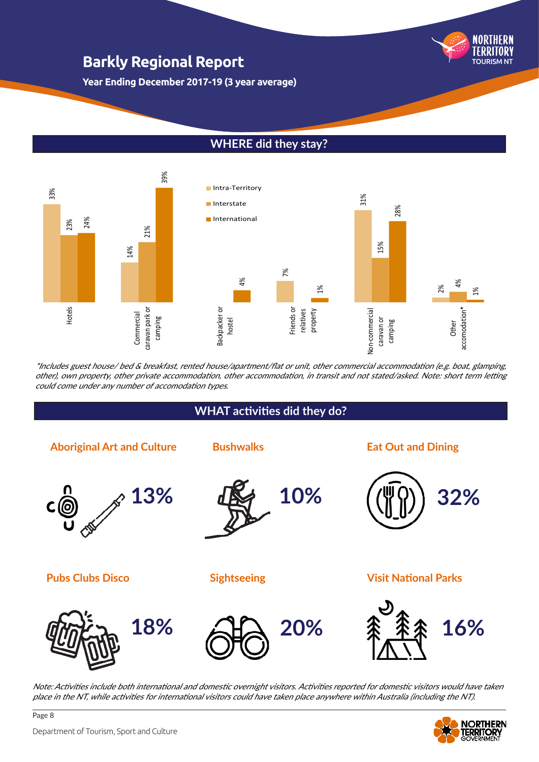

**Year Ending December 2017-19 (3 year average)**

### **WHERE did they stay?**



\*Includes guest house/ bed & breakfast, rented house/apartment/flat or unit, other commercial accommodation (e.g. boat, glamping, other), own property, other private accommodation, other accommodation, in transit and not stated/asked. Note: short term letting could come under any number of accomodation types.

#### **WHAT activities did they do?**



Note: Activities include both international and domestic overnight visitors. Activities reported for domestic visitors would have taken